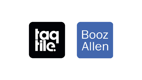

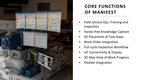- Field Service Ops, Training and Inspection
- Hands-free Knowledge Capture
- 3D Placement of Task Steps
- Work Order Integration
- Full-cycle Inspection Workflow
- IoT Connectivity & Display
- 3D Map View of Work Progress
- Flexible Integration



# **CORE FUNCTIONS OF MANIFEST**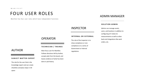#### **SUBJECT MATTER EXPERT**

### AUTHOR

The role for the user that is the knowledge expert and can create checklists and place steps in 3D space

### **TECHNICIAN / TRAINEE**

## OPERATOR

Main focus user for Manifest. Follows directions left by Author, accepts jobs from the board, and leaves evidence of what has been done in job history.

#### **INTERNAL OR EXTERNAL**

### INSPECTOR

The role of the Inspector is to show compliance or noncompliance on a series of Government or Internal regulations.

#### **SOLUTION ADMIN**

## ADMIN MANAGER

Admins can manage assets, users, and locations in addition to configuring IoT meters & measurements as well as other back-end integrations like work orders, etc.

# FOUR USER ROLES

Manifest has four user roles which have independent functions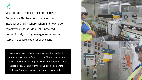

Here a plant expert new to HoloLens, dons the headset to Author a job as she performs it. Using 3D step markers she builds a job template, complete with video and photo notes, that can be augmented over the panel and equipment to guide any Operator needing to perform the same task.

![](_page_3_Picture_0.jpeg)

### **SKILLED EXPERTS CREATE JOB CHECKLISTS**

Authors use 3D placement of markers to instruct specifically where, when and how to do complex work tasks. Manifest is powered predominantly through user-generated content stored in a secure cloud for each client.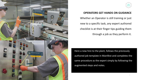![](_page_4_Picture_0.jpeg)

![](_page_4_Figure_1.jpeg)

# **OPERATORS GET HANDS ON GUIDANCE** Whether an Operator is still training or just new to a specific task, any expert authored checklist is at their finger tips guiding them through a job as they perform it.

Here a new hire to the plant, follows the previously authored job template in Manifest and completes the same procedure as the expert simply by following the augmented steps and notes.

![](_page_4_Picture_5.jpeg)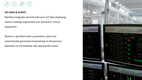![](_page_5_Picture_4.jpeg)

![](_page_5_Picture_0.jpeg)

### **IOT DATA & ALERTS**

Manifest integrates directly with your IoT data displaying meters readings augmented over physical or virtual equipment.

Based on specified meter parameters, alerts are automatically generated empowering on-the-ground Operators to immediately take appropriate action.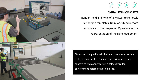![](_page_6_Figure_9.jpeg)

![](_page_6_Picture_10.jpeg)

![](_page_6_Picture_0.jpeg)

![](_page_6_Picture_1.jpeg)

### **DIGITAL TWIN OF ASSETS**

Render the digital twin of any asset to remotely

author job templates, train, or extend remote

assistance to on-the-ground Operators with a

representation of the same equipment.

3D model of a gravity belt thickener is rendered at fullscale, or small scale. The user can review steps and content to train or prepare in a safe, controlled environment before going to job site.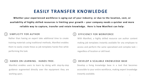# **EASILY TRANSFER KNOWLEDGE**

**Whether your experienced workforce is aging out of your industry; or due to the location, cost, or availability of highly skilled resources is limiting your growth – your company needs a quicker and more reliable way to capture, transfer and retain knowledge. Here is how Manifest can help:**

> With Manifest, a highly skilled resource can author content making job templates instantly available for any employee to access and perform the same specialized and complex task – regardless of location or skill level.

> 8 Develop a living knowledge base in a tool that becomes accessible to your entire workforce, making expert knowledge instantly available.

### EFFICIENCY FOR WORKFORCE

Rather than having an expert take additional time to create training materials using traditional methods, Manifest enables them to easily create these as job templates hands-free while performing the task.

### SIMPLICITY FOR AUTHOR

Manifest enables users to learn by doing with step-by-step guidance augmented directly over the equipment they are working upon.

### HANDS ON LEARNING. HANDS FREE.

### DEVELOP A SCALABLE KNOWLEDGE BASE